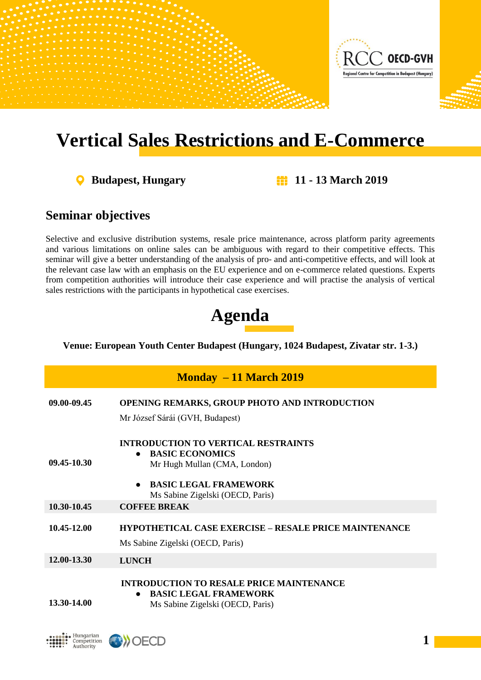

# **Vertical Sales Restrictions and E-Commerce**

**Budapest, Hungary 11 - 13 March 2019**

# **Seminar objectives**

Selective and exclusive distribution systems, resale price maintenance, across platform parity agreements and various limitations on online sales can be ambiguous with regard to their competitive effects. This seminar will give a better understanding of the analysis of pro- and anti-competitive effects, and will look at the relevant case law with an emphasis on the EU experience and on e-commerce related questions. Experts from competition authorities will introduce their case experience and will practise the analysis of vertical sales restrictions with the participants in hypothetical case exercises.

# **Agenda**

### **Venue: European Youth Center Budapest (Hungary, 1024 Budapest, Zivatar str. 1-3.)**

| $\mathbf{Monday} - 11 \mathbf{March} 2019$ |                                                                                                                                                                                                    |  |
|--------------------------------------------|----------------------------------------------------------------------------------------------------------------------------------------------------------------------------------------------------|--|
| 09.00-09.45                                | <b>OPENING REMARKS, GROUP PHOTO AND INTRODUCTION</b><br>Mr József Sárái (GVH, Budapest)                                                                                                            |  |
| 09.45-10.30                                | <b>INTRODUCTION TO VERTICAL RESTRAINTS</b><br><b>BASIC ECONOMICS</b><br>$\bullet$<br>Mr Hugh Mullan (CMA, London)<br><b>BASIC LEGAL FRAMEWORK</b><br>$\bullet$<br>Ms Sabine Zigelski (OECD, Paris) |  |
| 10.30-10.45                                | <b>COFFEE BREAK</b>                                                                                                                                                                                |  |
| 10.45-12.00                                | <b>HYPOTHETICAL CASE EXERCISE – RESALE PRICE MAINTENANCE</b><br>Ms Sabine Zigelski (OECD, Paris)                                                                                                   |  |
| 12.00-13.30                                | <b>LUNCH</b>                                                                                                                                                                                       |  |
| 13.30-14.00                                | <b>INTRODUCTION TO RESALE PRICE MAINTENANCE</b><br><b>BASIC LEGAL FRAMEWORK</b><br>$\bullet$<br>Ms Sabine Zigelski (OECD, Paris)                                                                   |  |



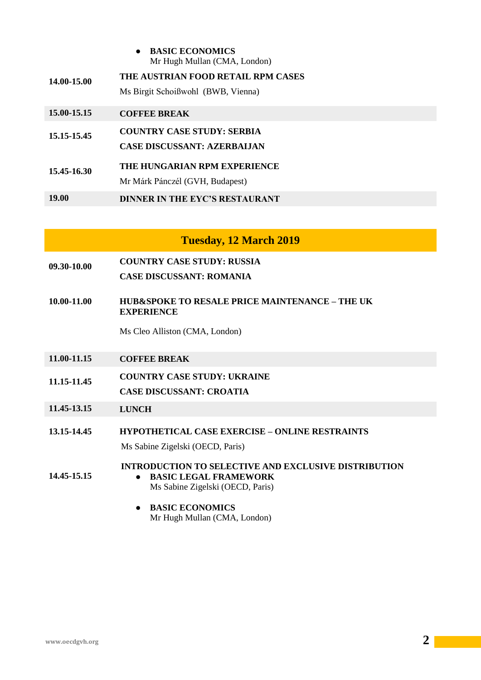| <b>BASIC ECONOMICS</b>       |  |
|------------------------------|--|
| Mr Hugh Mullan (CMA, London) |  |

| 14.00-15.00 | THE AUSTRIAN FOOD RETAIL RPM CASES<br>Ms Birgit Schoißwohl (BWB, Vienna) |
|-------------|--------------------------------------------------------------------------|
| 15.00-15.15 | <b>COFFEE BREAK</b>                                                      |
| 15.15-15.45 | <b>COUNTRY CASE STUDY: SERBIA</b><br><b>CASE DISCUSSANT: AZERBALIAN</b>  |
| 15.45-16.30 | THE HUNGARIAN RPM EXPERIENCE                                             |

- Mr Márk Pánczél (GVH, Budapest)
- **19.00 DINNER IN THE EYC'S RESTAURANT**

## **Tuesday, 12 March 2019**

- **09.30-10.00 COUNTRY CASE STUDY: RUSSIA**
	- **CASE DISCUSSANT: ROMANIA**
- **10.00-11.00 HUB&SPOKE TO RESALE PRICE MAINTENANCE – THE UK EXPERIENCE**

Ms Cleo Alliston (CMA, London)

- **11.00-11.15 COFFEE BREAK**
- **11.15-11.45 COUNTRY CASE STUDY: UKRAINE**
- **CASE DISCUSSANT: CROATIA**
- **11.45-13.15 LUNCH**
- **13.15-14.45 HYPOTHETICAL CASE EXERCISE – ONLINE RESTRAINTS** Ms Sabine Zigelski (OECD, Paris)

**INTRODUCTION TO SELECTIVE AND EXCLUSIVE DISTRIBUTION**

- **BASIC LEGAL FRAMEWORK**
	- Ms Sabine Zigelski (OECD, Paris)
- **BASIC ECONOMICS** Mr Hugh Mullan (CMA, London)

**14.45-15.15**